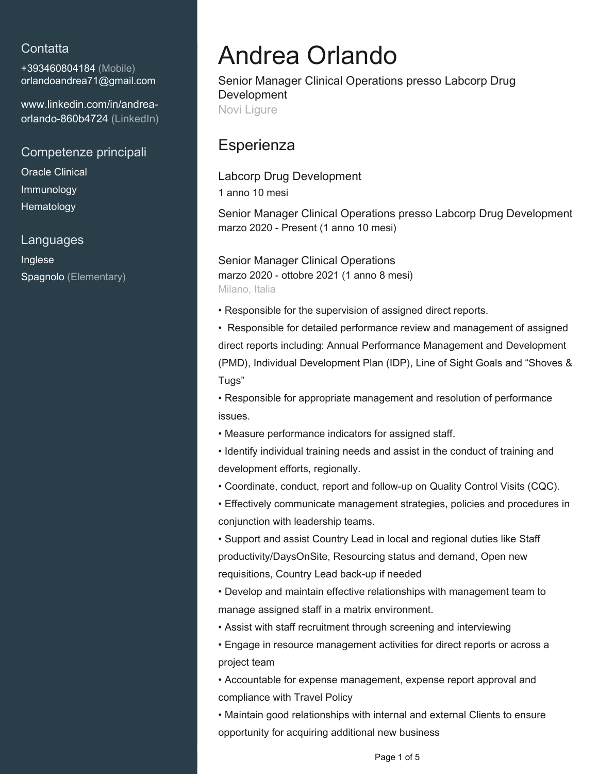## **Contatta**

+393460804184 (Mobile) [orlandoandrea71@gmail.com](mailto:orlandoandrea71@gmail.com)

[www.linkedin.com/in/andrea](https://www.linkedin.com/in/andrea-orlando-860b4724?jobid=1234&lipi=urn%3Ali%3Apage%3Ad_jobs_easyapply_pdfgenresume%3B3Lj0yjg4Tf2yThNui79Ftg%3D%3D&licu=urn%3Ali%3Acontrol%3Ad_jobs_easyapply_pdfgenresume-v02_profile)[orlando-860b4724 \(LinkedIn\)](https://www.linkedin.com/in/andrea-orlando-860b4724?jobid=1234&lipi=urn%3Ali%3Apage%3Ad_jobs_easyapply_pdfgenresume%3B3Lj0yjg4Tf2yThNui79Ftg%3D%3D&licu=urn%3Ali%3Acontrol%3Ad_jobs_easyapply_pdfgenresume-v02_profile)

Competenze principali

Oracle Clinical Immunology **Hematology** 

### Languages

Inglese Spagnolo (Elementary)

# Andrea Orlando

Senior Manager Clinical Operations presso Labcorp Drug Development Novi Ligure

## **Esperienza**

Labcorp Drug Development 1 anno 10 mesi

Senior Manager Clinical Operations presso Labcorp Drug Development marzo 2020 - Present (1 anno 10 mesi)

Senior Manager Clinical Operations marzo 2020 - ottobre 2021 (1 anno 8 mesi) Milano, Italia

• Responsible for the supervision of assigned direct reports.

• Responsible for detailed performance review and management of assigned direct reports including: Annual Performance Management and Development (PMD), Individual Development Plan (IDP), Line of Sight Goals and "Shoves & Tugs"

• Responsible for appropriate management and resolution of performance issues.

• Measure performance indicators for assigned staff.

• Identify individual training needs and assist in the conduct of training and development efforts, regionally.

• Coordinate, conduct, report and follow-up on Quality Control Visits (CQC).

• Effectively communicate management strategies, policies and procedures in conjunction with leadership teams.

• Support and assist Country Lead in local and regional duties like Staff productivity/DaysOnSite, Resourcing status and demand, Open new requisitions, Country Lead back-up if needed

• Develop and maintain effective relationships with management team to manage assigned staff in a matrix environment.

• Assist with staff recruitment through screening and interviewing

• Engage in resource management activities for direct reports or across a project team

• Accountable for expense management, expense report approval and compliance with Travel Policy

• Maintain good relationships with internal and external Clients to ensure opportunity for acquiring additional new business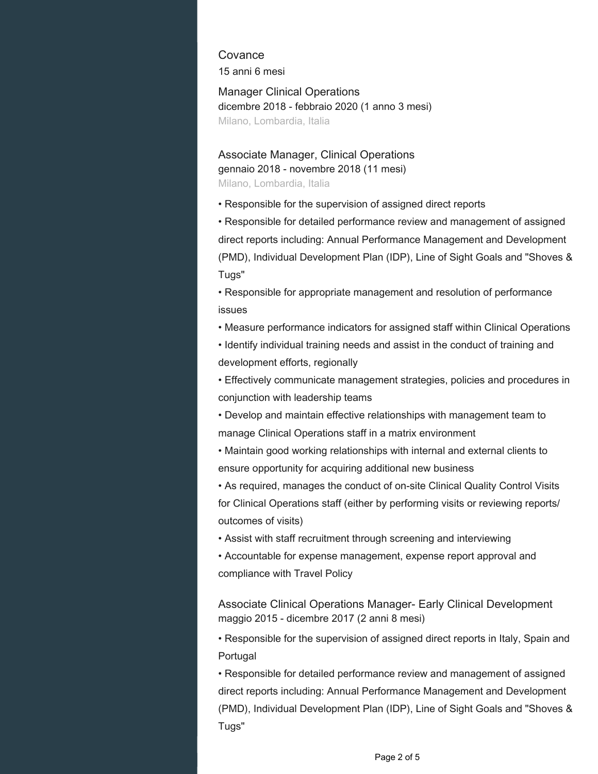**Covance** 15 anni 6 mesi

Manager Clinical Operations dicembre 2018 - febbraio 2020 (1 anno 3 mesi) Milano, Lombardia, Italia

Associate Manager, Clinical Operations gennaio 2018 - novembre 2018 (11 mesi) Milano, Lombardia, Italia

• Responsible for the supervision of assigned direct reports

• Responsible for detailed performance review and management of assigned direct reports including: Annual Performance Management and Development (PMD), Individual Development Plan (IDP), Line of Sight Goals and "Shoves & Tugs"

• Responsible for appropriate management and resolution of performance issues

• Measure performance indicators for assigned staff within Clinical Operations

• Identify individual training needs and assist in the conduct of training and development efforts, regionally

• Effectively communicate management strategies, policies and procedures in conjunction with leadership teams

• Develop and maintain effective relationships with management team to manage Clinical Operations staff in a matrix environment

• Maintain good working relationships with internal and external clients to ensure opportunity for acquiring additional new business

• As required, manages the conduct of on-site Clinical Quality Control Visits for Clinical Operations staff (either by performing visits or reviewing reports/ outcomes of visits)

• Assist with staff recruitment through screening and interviewing

• Accountable for expense management, expense report approval and compliance with Travel Policy

Associate Clinical Operations Manager- Early Clinical Development maggio 2015 - dicembre 2017 (2 anni 8 mesi)

• Responsible for the supervision of assigned direct reports in Italy, Spain and Portugal

• Responsible for detailed performance review and management of assigned direct reports including: Annual Performance Management and Development (PMD), Individual Development Plan (IDP), Line of Sight Goals and "Shoves & Tugs"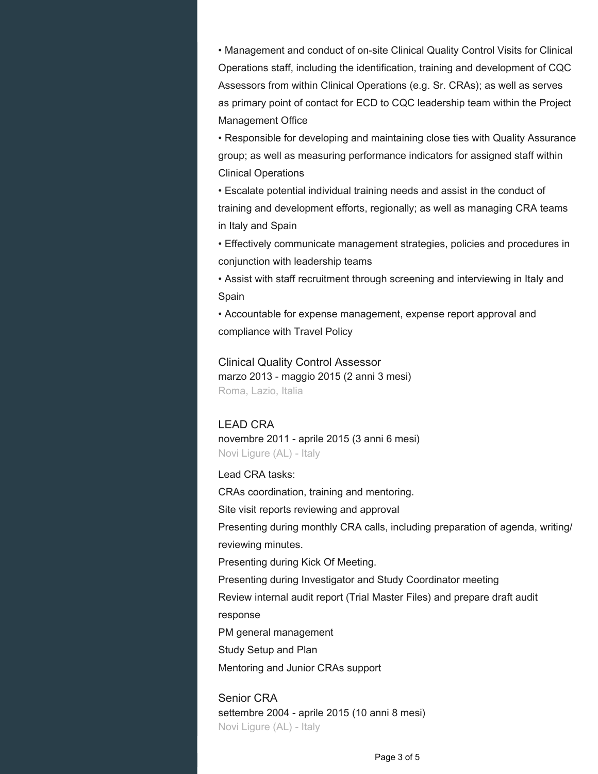• Management and conduct of on-site Clinical Quality Control Visits for Clinical Operations staff, including the identification, training and development of CQC Assessors from within Clinical Operations (e.g. Sr. CRAs); as well as serves as primary point of contact for ECD to CQC leadership team within the Project Management Office

• Responsible for developing and maintaining close ties with Quality Assurance group; as well as measuring performance indicators for assigned staff within Clinical Operations

• Escalate potential individual training needs and assist in the conduct of training and development efforts, regionally; as well as managing CRA teams in Italy and Spain

• Effectively communicate management strategies, policies and procedures in conjunction with leadership teams

• Assist with staff recruitment through screening and interviewing in Italy and Spain

• Accountable for expense management, expense report approval and compliance with Travel Policy

Clinical Quality Control Assessor marzo 2013 - maggio 2015 (2 anni 3 mesi) Roma, Lazio, Italia

#### LEAD CRA

novembre 2011 - aprile 2015 (3 anni 6 mesi) Novi Ligure (AL) - Italy

#### Lead CRA tasks:

CRAs coordination, training and mentoring. Site visit reports reviewing and approval Presenting during monthly CRA calls, including preparation of agenda, writing/ reviewing minutes. Presenting during Kick Of Meeting. Presenting during Investigator and Study Coordinator meeting Review internal audit report (Trial Master Files) and prepare draft audit response PM general management Study Setup and Plan Mentoring and Junior CRAs support

Senior CRA settembre 2004 - aprile 2015 (10 anni 8 mesi) Novi Ligure (AL) - Italy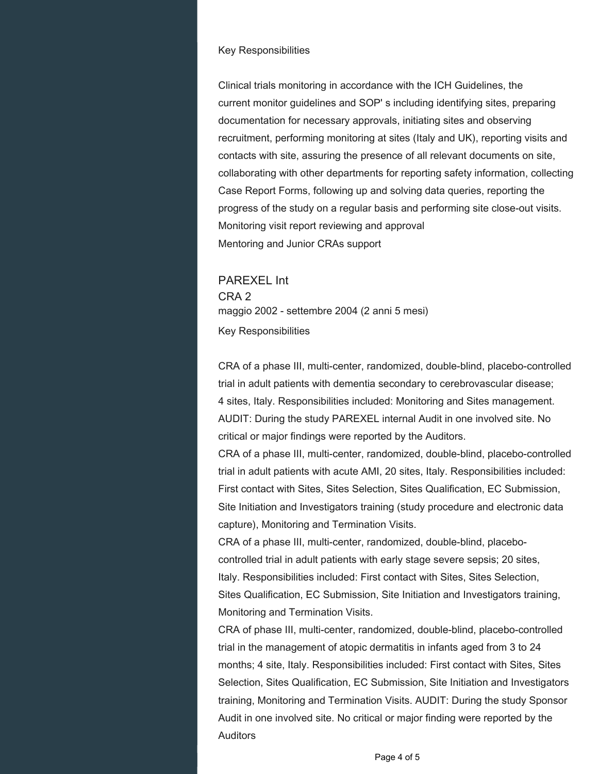#### Key Responsibilities

Clinical trials monitoring in accordance with the ICH Guidelines, the current monitor guidelines and SOP' s including identifying sites, preparing documentation for necessary approvals, initiating sites and observing recruitment, performing monitoring at sites (Italy and UK), reporting visits and contacts with site, assuring the presence of all relevant documents on site, collaborating with other departments for reporting safety information, collecting Case Report Forms, following up and solving data queries, reporting the progress of the study on a regular basis and performing site close-out visits. Monitoring visit report reviewing and approval Mentoring and Junior CRAs support

PAREXEL Int CRA 2 maggio 2002 - settembre 2004 (2 anni 5 mesi) Key Responsibilities

CRA of a phase III, multi-center, randomized, double-blind, placebo-controlled trial in adult patients with dementia secondary to cerebrovascular disease; 4 sites, Italy. Responsibilities included: Monitoring and Sites management. AUDIT: During the study PAREXEL internal Audit in one involved site. No critical or major findings were reported by the Auditors.

CRA of a phase III, multi-center, randomized, double-blind, placebo-controlled trial in adult patients with acute AMI, 20 sites, Italy. Responsibilities included: First contact with Sites, Sites Selection, Sites Qualification, EC Submission, Site Initiation and Investigators training (study procedure and electronic data capture), Monitoring and Termination Visits.

CRA of a phase III, multi-center, randomized, double-blind, placebocontrolled trial in adult patients with early stage severe sepsis; 20 sites, Italy. Responsibilities included: First contact with Sites, Sites Selection, Sites Qualification, EC Submission, Site Initiation and Investigators training, Monitoring and Termination Visits.

CRA of phase III, multi-center, randomized, double-blind, placebo-controlled trial in the management of atopic dermatitis in infants aged from 3 to 24 months; 4 site, Italy. Responsibilities included: First contact with Sites, Sites Selection, Sites Qualification, EC Submission, Site Initiation and Investigators training, Monitoring and Termination Visits. AUDIT: During the study Sponsor Audit in one involved site. No critical or major finding were reported by the Auditors